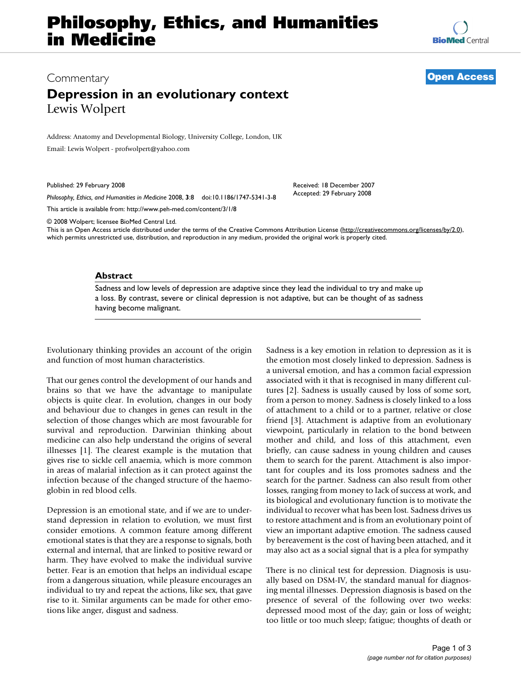# **Philosophy, Ethics, and Humanities in Medicine**

**[BioMed](http://www.biomedcentral.com/)** Central

## Commentary **[Open Access](http://www.biomedcentral.com/info/about/charter/)**

# **Depression in an evolutionary context** Lewis Wolpert

Address: Anatomy and Developmental Biology, University College, London, UK

Email: Lewis Wolpert - profwolpert@yahoo.com

Published: 29 February 2008

*Philosophy, Ethics, and Humanities in Medicine* 2008, **3**:8 doi:10.1186/1747-5341-3-8

[This article is available from: http://www.peh-med.com/content/3/1/8](http://www.peh-med.com/content/3/1/8)

© 2008 Wolpert; licensee BioMed Central Ltd.

This is an Open Access article distributed under the terms of the Creative Commons Attribution License [\(http://creativecommons.org/licenses/by/2.0\)](http://creativecommons.org/licenses/by/2.0), which permits unrestricted use, distribution, and reproduction in any medium, provided the original work is properly cited.

Received: 18 December 2007 Accepted: 29 February 2008

### **Abstract**

Sadness and low levels of depression are adaptive since they lead the individual to try and make up a loss. By contrast, severe or clinical depression is not adaptive, but can be thought of as sadness having become malignant.

Evolutionary thinking provides an account of the origin and function of most human characteristics.

That our genes control the development of our hands and brains so that we have the advantage to manipulate objects is quite clear. In evolution, changes in our body and behaviour due to changes in genes can result in the selection of those changes which are most favourable for survival and reproduction. Darwinian thinking about medicine can also help understand the origins of several illnesses [1]. The clearest example is the mutation that gives rise to sickle cell anaemia, which is more common in areas of malarial infection as it can protect against the infection because of the changed structure of the haemoglobin in red blood cells.

Depression is an emotional state, and if we are to understand depression in relation to evolution, we must first consider emotions. A common feature among different emotional states is that they are a response to signals, both external and internal, that are linked to positive reward or harm. They have evolved to make the individual survive better. Fear is an emotion that helps an individual escape from a dangerous situation, while pleasure encourages an individual to try and repeat the actions, like sex, that gave rise to it. Similar arguments can be made for other emotions like anger, disgust and sadness.

Sadness is a key emotion in relation to depression as it is the emotion most closely linked to depression. Sadness is a universal emotion, and has a common facial expression associated with it that is recognised in many different cultures [2]. Sadness is usually caused by loss of some sort, from a person to money. Sadness is closely linked to a loss of attachment to a child or to a partner, relative or close friend [3]. Attachment is adaptive from an evolutionary viewpoint, particularly in relation to the bond between mother and child, and loss of this attachment, even briefly, can cause sadness in young children and causes them to search for the parent. Attachment is also important for couples and its loss promotes sadness and the search for the partner. Sadness can also result from other losses, ranging from money to lack of success at work, and its biological and evolutionary function is to motivate the individual to recover what has been lost. Sadness drives us to restore attachment and is from an evolutionary point of view an important adaptive emotion. The sadness caused by bereavement is the cost of having been attached, and it may also act as a social signal that is a plea for sympathy

There is no clinical test for depression. Diagnosis is usually based on DSM-IV, the standard manual for diagnosing mental illnesses. Depression diagnosis is based on the presence of several of the following over two weeks: depressed mood most of the day; gain or loss of weight; too little or too much sleep; fatigue; thoughts of death or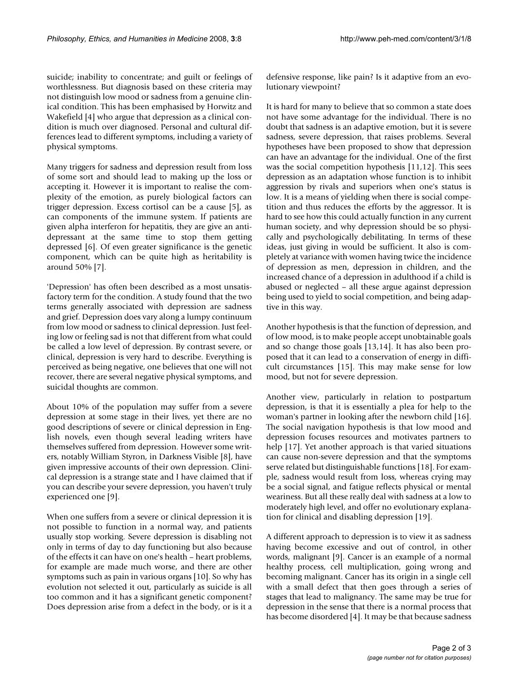suicide; inability to concentrate; and guilt or feelings of worthlessness. But diagnosis based on these criteria may not distinguish low mood or sadness from a genuine clinical condition. This has been emphasised by Horwitz and Wakefield [4] who argue that depression as a clinical condition is much over diagnosed. Personal and cultural differences lead to different symptoms, including a variety of physical symptoms.

Many triggers for sadness and depression result from loss of some sort and should lead to making up the loss or accepting it. However it is important to realise the complexity of the emotion, as purely biological factors can trigger depression. Excess cortisol can be a cause [5], as can components of the immune system. If patients are given alpha interferon for hepatitis, they are give an antidepressant at the same time to stop them getting depressed [6]. Of even greater significance is the genetic component, which can be quite high as heritability is around 50% [7].

'Depression' has often been described as a most unsatisfactory term for the condition. A study found that the two terms generally associated with depression are sadness and grief. Depression does vary along a lumpy continuum from low mood or sadness to clinical depression. Just feeling low or feeling sad is not that different from what could be called a low level of depression. By contrast severe, or clinical, depression is very hard to describe. Everything is perceived as being negative, one believes that one will not recover, there are several negative physical symptoms, and suicidal thoughts are common.

About 10% of the population may suffer from a severe depression at some stage in their lives, yet there are no good descriptions of severe or clinical depression in English novels, even though several leading writers have themselves suffered from depression. However some writers, notably William Styron, in Darkness Visible [8], have given impressive accounts of their own depression. Clinical depression is a strange state and I have claimed that if you can describe your severe depression, you haven't truly experienced one [9].

When one suffers from a severe or clinical depression it is not possible to function in a normal way, and patients usually stop working. Severe depression is disabling not only in terms of day to day functioning but also because of the effects it can have on one's health – heart problems, for example are made much worse, and there are other symptoms such as pain in various organs [10]. So why has evolution not selected it out, particularly as suicide is all too common and it has a significant genetic component? Does depression arise from a defect in the body, or is it a defensive response, like pain? Is it adaptive from an evolutionary viewpoint?

It is hard for many to believe that so common a state does not have some advantage for the individual. There is no doubt that sadness is an adaptive emotion, but it is severe sadness, severe depression, that raises problems. Several hypotheses have been proposed to show that depression can have an advantage for the individual. One of the first was the social competition hypothesis [11,12]. This sees depression as an adaptation whose function is to inhibit aggression by rivals and superiors when one's status is low. It is a means of yielding when there is social competition and thus reduces the efforts by the aggressor. It is hard to see how this could actually function in any current human society, and why depression should be so physically and psychologically debilitating. In terms of these ideas, just giving in would be sufficient. It also is completely at variance with women having twice the incidence of depression as men, depression in children, and the increased chance of a depression in adulthood if a child is abused or neglected – all these argue against depression being used to yield to social competition, and being adaptive in this way.

Another hypothesis is that the function of depression, and of low mood, is to make people accept unobtainable goals and so change those goals [13,14]. It has also been proposed that it can lead to a conservation of energy in difficult circumstances [15]. This may make sense for low mood, but not for severe depression.

Another view, particularly in relation to postpartum depression, is that it is essentially a plea for help to the woman's partner in looking after the newborn child [16]. The social navigation hypothesis is that low mood and depression focuses resources and motivates partners to help [17]. Yet another approach is that varied situations can cause non-severe depression and that the symptoms serve related but distinguishable functions [18]. For example, sadness would result from loss, whereas crying may be a social signal, and fatigue reflects physical or mental weariness. But all these really deal with sadness at a low to moderately high level, and offer no evolutionary explanation for clinical and disabling depression [19].

A different approach to depression is to view it as sadness having become excessive and out of control, in other words, malignant [9]. Cancer is an example of a normal healthy process, cell multiplication, going wrong and becoming malignant. Cancer has its origin in a single cell with a small defect that then goes through a series of stages that lead to malignancy. The same may be true for depression in the sense that there is a normal process that has become disordered [4]. It may be that because sadness